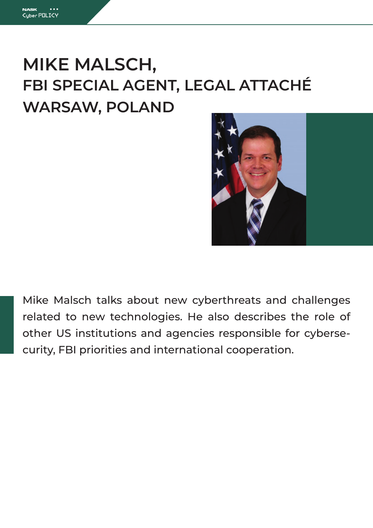# **MIKE MALSCH, FBI SPECIAL AGENT, LEGAL ATTACHÉ WARSAW, POLAND**



Mike Malsch talks about new cyberthreats and challenges related to new technologies. He also describes the role of other US institutions and agencies responsible for cybersecurity, FBI priorities and international cooperation.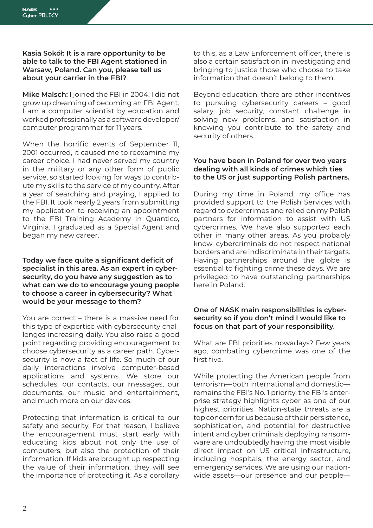# **Kasia Sokół: It is a rare opportunity to be able to talk to the FBI Agent stationed in Warsaw, Poland. Can you, please tell us about your carrier in the FBI?**

**Mike Malsch:** I joined the FBI in 2004. I did not grow up dreaming of becoming an FBI Agent. I am a computer scientist by education and worked professionally as a software developer/ computer programmer for 11 years.

When the horrific events of September 11, 2001 occurred, it caused me to reexamine my career choice. I had never served my country in the military or any other form of public service, so started looking for ways to contribute my skills to the service of my country. After a year of searching and praying, I applied to the FBI. It took nearly 2 years from submitting my application to receiving an appointment to the FBI Training Academy in Quantico, Virginia. I graduated as a Special Agent and began my new career.

#### **Today we face quite a significant deficit of specialist in this area. As an expert in cybersecurity, do you have any suggestion as to what can we do to encourage young people to choose a career in cybersecurity? What would be your message to them?**

You are correct – there is a massive need for this type of expertise with cybersecurity challenges increasing daily. You also raise a good point regarding providing encouragement to choose cybersecurity as a career path. Cybersecurity is now a fact of life. So much of our daily interactions involve computer-based applications and systems. We store our schedules, our contacts, our messages, our documents, our music and entertainment, and much more on our devices.

Protecting that information is critical to our safety and security. For that reason, I believe the encouragement must start early with educating kids about not only the use of computers, but also the protection of their information. If kids are brought up respecting the value of their information, they will see the importance of protecting it. As a corollary to this, as a Law Enforcement officer, there is also a certain satisfaction in investigating and bringing to justice those who choose to take information that doesn't belong to them.

Beyond education, there are other incentives to pursuing cybersecurity careers – good salary, job security, constant challenge in solving new problems, and satisfaction in knowing you contribute to the safety and security of others.

# **You have been in Poland for over two years dealing with all kinds of crimes which ties to the US or just supporting Polish partners.**

During my time in Poland, my office has provided support to the Polish Services with regard to cybercrimes and relied on my Polish partners for information to assist with US cybercrimes. We have also supported each other in many other areas. As you probably know, cybercriminals do not respect national borders and are indiscriminate in their targets. Having partnerships around the globe is essential to fighting crime these days. We are privileged to have outstanding partnerships here in Poland.

# **One of NASK main responsibilities is cybersecurity so if you don't mind I would like to focus on that part of your responsibility.**

What are FBI priorities nowadays? Few years ago, combating cybercrime was one of the first five.

While protecting the American people from terrorism—both international and domestic remains the FBI's No. 1 priority, the FBI's enterprise strategy highlights cyber as one of our highest priorities. Nation-state threats are a top concern for us because of their persistence, sophistication, and potential for destructive intent and cyber criminals deploying ransomware are undoubtedly having the most visible direct impact on US critical infrastructure, including hospitals, the energy sector, and emergency services. We are using our nationwide assets—our presence and our people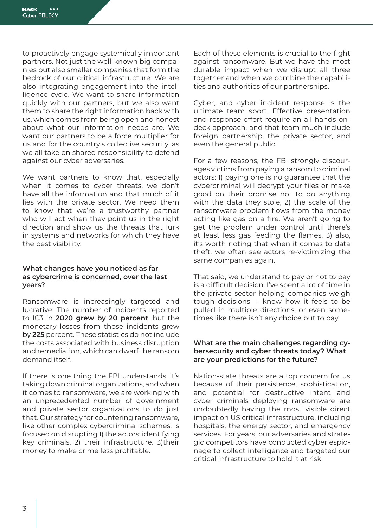to proactively engage systemically important partners. Not just the well-known big companies but also smaller companies that form the bedrock of our critical infrastructure. We are also integrating engagement into the intelligence cycle. We want to share information quickly with our partners, but we also want them to share the right information back with us, which comes from being open and honest about what our information needs are. We want our partners to be a force multiplier for us and for the country's collective security, as we all take on shared responsibility to defend against our cyber adversaries.

We want partners to know that, especially when it comes to cyber threats, we don't have all the information and that much of it lies with the private sector. We need them to know that we're a trustworthy partner who will act when they point us in the right direction and show us the threats that lurk in systems and networks for which they have the best visibility.

#### **What changes have you noticed as far as cybercrime is concerned, over the last years?**

Ransomware is increasingly targeted and lucrative. The number of incidents reported to IC3 in **2020 grew by 20 percent**, but the monetary losses from those incidents grew by **225** percent. These statistics do not include the costs associated with business disruption and remediation, which can dwarf the ransom demand itself.

If there is one thing the FBI understands, it's taking down criminal organizations, and when it comes to ransomware, we are working with an unprecedented number of government and private sector organizations to do just that. Our strategy for countering ransomware, like other complex cybercriminal schemes, is focused on disrupting 1) the actors: identifying key criminals, 2) their infrastructure. 3)their money to make crime less profitable.

Each of these elements is crucial to the fight against ransomware. But we have the most durable impact when we disrupt all three together and when we combine the capabilities and authorities of our partnerships.

Cyber, and cyber incident response is the ultimate team sport. Effective presentation and response effort require an all hands-ondeck approach, and that team much include foreign partnership, the private sector, and even the general public.

For a few reasons, the FBI strongly discourages victims from paying a ransom to criminal actors: 1) paying one is no guarantee that the cybercriminal will decrypt your files or make good on their promise not to do anything with the data they stole, 2) the scale of the ransomware problem flows from the money acting like gas on a fire. We aren't going to get the problem under control until there's at least less gas feeding the flames, 3) also, it's worth noting that when it comes to data theft, we often see actors re-victimizing the same companies again.

That said, we understand to pay or not to pay is a difficult decision. I've spent a lot of time in the private sector helping companies weigh tough decisions—I know how it feels to be pulled in multiple directions, or even sometimes like there isn't any choice but to pay.

#### **What are the main challenges regarding cybersecurity and cyber threats today? What are your predictions for the future?**

Nation-state threats are a top concern for us because of their persistence, sophistication, and potential for destructive intent and cyber criminals deploying ransomware are undoubtedly having the most visible direct impact on US critical infrastructure, including hospitals, the energy sector, and emergency services. For years, our adversaries and strategic competitors have conducted cyber espionage to collect intelligence and targeted our critical infrastructure to hold it at risk.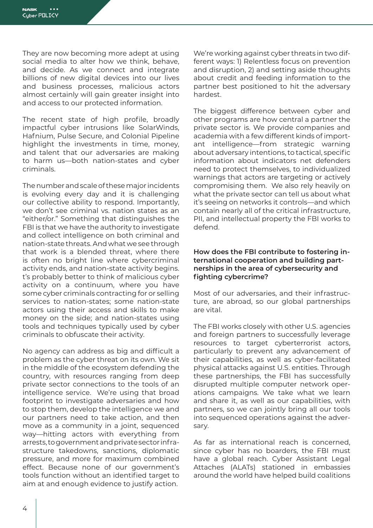They are now becoming more adept at using social media to alter how we think, behave, and decide. As we connect and integrate billions of new digital devices into our lives and business processes, malicious actors almost certainly will gain greater insight into and access to our protected information.

The recent state of high profile, broadly impactful cyber intrusions like SolarWinds, Hafnium, Pulse Secure, and Colonial Pipeline highlight the investments in time, money, and talent that our adversaries are making to harm us—both nation-states and cyber criminals.

The number and scale of these major incidents is evolving every day and it is challenging our collective ability to respond. Importantly, we don't see criminal vs. nation states as an "either/or." Something that distinguishes the FBI is that we have the authority to investigate and collect intelligence on both criminal and nation-state threats. And what we see through that work is a blended threat, where there is often no bright line where cybercriminal activity ends, and nation-state activity begins. t's probably better to think of malicious cyber activity on a continuum, where you have some cyber criminals contracting for or selling services to nation-states; some nation-state actors using their access and skills to make money on the side; and nation-states using tools and techniques typically used by cyber criminals to obfuscate their activity.

No agency can address as big and difficult a problem as the cyber threat on its own. We sit in the middle of the ecosystem defending the country, with resources ranging from deep private sector connections to the tools of an intelligence service. We're using that broad footprint to investigate adversaries and how to stop them, develop the intelligence we and our partners need to take action, and then move as a community in a joint, sequenced way—hitting actors with everything from arrests, to government and private sector infrastructure takedowns, sanctions, diplomatic pressure, and more for maximum combined effect. Because none of our government's tools function without an identified target to aim at and enough evidence to justify action.

We're working against cyber threats in two different ways: 1) Relentless focus on prevention and disruption, 2) and setting aside thoughts about credit and feeding information to the partner best positioned to hit the adversary hardest.

The biggest difference between cyber and other programs are how central a partner the private sector is. We provide companies and academia with a few different kinds of important intelligence—from strategic warning about adversary intentions, to tactical, specific information about indicators net defenders need to protect themselves, to individualized warnings that actors are targeting or actively compromising them. We also rely heavily on what the private sector can tell us about what it's seeing on networks it controls—and which contain nearly all of the critical infrastructure, PII, and intellectual property the FBI works to defend.

#### **How does the FBI contribute to fostering international cooperation and building partnerships in the area of cybersecurity and fighting cybercrime?**

Most of our adversaries, and their infrastructure, are abroad, so our global partnerships are vital.

The FBI works closely with other U.S. agencies and foreign partners to successfully leverage resources to target cyberterrorist actors, particularly to prevent any advancement of their capabilities, as well as cyber-facilitated physical attacks against U.S. entities. Through these partnerships, the FBI has successfully disrupted multiple computer network operations campaigns. We take what we learn and share it, as well as our capabilities, with partners, so we can jointly bring all our tools into sequenced operations against the adversary.

As far as international reach is concerned, since cyber has no boarders, the FBI must have a global reach. Cyber Assistant Legal Attaches (ALATs) stationed in embassies around the world have helped build coalitions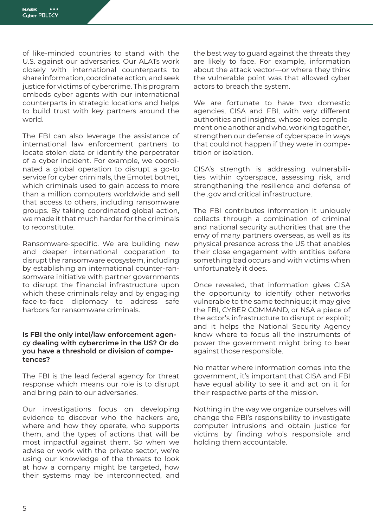of like-minded countries to stand with the U.S. against our adversaries. Our ALATs work closely with international counterparts to share information, coordinate action, and seek justice for victims of cybercrime. This program embeds cyber agents with our international counterparts in strategic locations and helps to build trust with key partners around the world.

The FBI can also leverage the assistance of international law enforcement partners to locate stolen data or identify the perpetrator of a cyber incident. For example, we coordinated a global operation to disrupt a go-to service for cyber criminals, the Emotet botnet, which criminals used to gain access to more than a million computers worldwide and sell that access to others, including ransomware groups. By taking coordinated global action, we made it that much harder for the criminals to reconstitute.

Ransomware-specific. We are building new and deeper international cooperation to disrupt the ransomware ecosystem, including by establishing an international counter-ransomware initiative with partner governments to disrupt the financial infrastructure upon which these criminals relay and by engaging face-to-face diplomacy to address safe harbors for ransomware criminals.

#### **Is FBI the only intel/law enforcement agency dealing with cybercrime in the US? Or do you have a threshold or division of competences?**

The FBI is the lead federal agency for threat response which means our role is to disrupt and bring pain to our adversaries.

Our investigations focus on developing evidence to discover who the hackers are, where and how they operate, who supports them, and the types of actions that will be most impactful against them. So when we advise or work with the private sector, we're using our knowledge of the threats to look at how a company might be targeted, how their systems may be interconnected, and the best way to guard against the threats they are likely to face. For example, information about the attack vector—or where they think the vulnerable point was that allowed cyber actors to breach the system.

We are fortunate to have two domestic agencies, CISA and FBI, with very different authorities and insights, whose roles complement one another and who, working together, strengthen our defense of cyberspace in ways that could not happen if they were in competition or isolation.

CISA's strength is addressing vulnerabilities within cyberspace, assessing risk, and strengthening the resilience and defense of the .gov and critical infrastructure.

The FBI contributes information it uniquely collects through a combination of criminal and national security authorities that are the envy of many partners overseas, as well as its physical presence across the US that enables their close engagement with entities before something bad occurs and with victims when unfortunately it does.

Once revealed, that information gives CISA the opportunity to identify other networks vulnerable to the same technique; it may give the FBI, CYBER COMMAND, or NSA a piece of the actor's infrastructure to disrupt or exploit; and it helps the National Security Agency know where to focus all the instruments of power the government might bring to bear against those responsible.

No matter where information comes into the government, it's important that CISA and FBI have equal ability to see it and act on it for their respective parts of the mission.

Nothing in the way we organize ourselves will change the FBI's responsibility to investigate computer intrusions and obtain justice for victims by finding who's responsible and holding them accountable.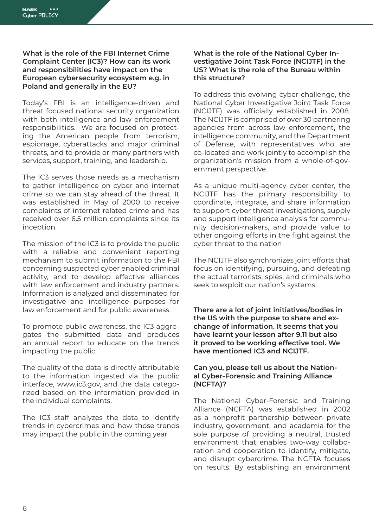## **What is the role of the FBI Internet Crime Complaint Center (IC3)? How can its work and responsibilities have impact on the European cybersecurity ecosystem e.g. in Poland and generally in the EU?**

Today's FBI is an intelligence-driven and threat focused national security organization with both intelligence and law enforcement responsibilities. We are focused on protecting the American people from terrorism, espionage, cyberattacks and major criminal threats, and to provide or many partners with services, support, training, and leadership.

The IC3 serves those needs as a mechanism to gather intelligence on cyber and internet crime so we can stay ahead of the threat. It was established in May of 2000 to receive complaints of internet related crime and has received over 6.5 million complaints since its inception.

The mission of the IC3 is to provide the public with a reliable and convenient reporting mechanism to submit information to the FBI concerning suspected cyber enabled criminal activity, and to develop effective alliances with law enforcement and industry partners. Information is analyzed and disseminated for investigative and intelligence purposes for law enforcement and for public awareness.

To promote public awareness, the IC3 aggregates the submitted data and produces an annual report to educate on the trends impacting the public.

The quality of the data is directly attributable to the information ingested via the public interface, www.ic3.gov, and the data categorized based on the information provided in the individual complaints.

The IC3 staff analyzes the data to identify trends in cybercrimes and how those trends may impact the public in the coming year.

## **What is the role of the National Cyber Investigative Joint Task Force (NCIJTF) in the US? What is the role of the Bureau within this structure?**

To address this evolving cyber challenge, the National Cyber Investigative Joint Task Force (NCIJTF) was officially established in 2008. The NCIJTF is comprised of over 30 partnering agencies from across law enforcement, the intelligence community, and the Department of Defense, with representatives who are co-located and work jointly to accomplish the organization's mission from a whole-of-government perspective.

As a unique multi-agency cyber center, the NCIJTF has the primary responsibility to coordinate, integrate, and share information to support cyber threat investigations, supply and support intelligence analysis for community decision-makers, and provide value to other ongoing efforts in the fight against the cyber threat to the nation

The NCIJTF also synchronizes joint efforts that focus on identifying, pursuing, and defeating the actual terrorists, spies, and criminals who seek to exploit our nation's systems.

**There are a lot of joint initiatives/bodies in the US with the purpose to share and exchange of information. It seems that you have learnt your lesson after 9.11 but also it proved to be working effective tool. We have mentioned IC3 and NCIJTF.** 

# **Can you, please tell us about the National Cyber-Forensic and Training Alliance (NCFTA)?**

The National Cyber-Forensic and Training Alliance (NCFTA) was established in 2002 as a nonprofit partnership between private industry, government, and academia for the sole purpose of providing a neutral, trusted environment that enables two-way collaboration and cooperation to identify, mitigate, and disrupt cybercrime. The NCFTA focuses on results. By establishing an environment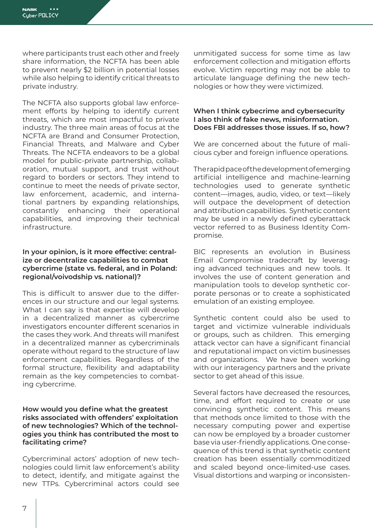where participants trust each other and freely share information, the NCFTA has been able to prevent nearly \$2 billion in potential losses while also helping to identify critical threats to private industry.

The NCFTA also supports global law enforcement efforts by helping to identify current threats, which are most impactful to private industry. The three main areas of focus at the NCFTA are Brand and Consumer Protection, Financial Threats, and Malware and Cyber Threats. The NCFTA endeavors to be a global model for public-private partnership, collaboration, mutual support, and trust without regard to borders or sectors. They intend to continue to meet the needs of private sector, law enforcement, academic, and international partners by expanding relationships, constantly enhancing their operational capabilities, and improving their technical infrastructure.

#### **In your opinion, is it more effective: centralize or decentralize capabilities to combat cybercrime (state vs. federal, and in Poland: regional/voivodship vs. national)?**

This is difficult to answer due to the differences in our structure and our legal systems. What I can say is that expertise will develop in a decentralized manner as cybercrime investigators encounter different scenarios in the cases they work. And threats will manifest in a decentralized manner as cybercriminals operate without regard to the structure of law enforcement capabilities. Regardless of the formal structure, flexibility and adaptability remain as the key competencies to combating cybercrime.

## **How would you define what the greatest risks associated with offenders' exploitation of new technologies? Which of the technologies you think has contributed the most to facilitating crime?**

Cybercriminal actors' adoption of new technologies could limit law enforcement's ability to detect, identify, and mitigate against the new TTPs. Cybercriminal actors could see unmitigated success for some time as law enforcement collection and mitigation efforts evolve. Victim reporting may not be able to articulate language defining the new technologies or how they were victimized.

### **When I think cybecrime and cybersecurity I also think of fake news, misinformation. Does FBI addresses those issues. If so, how?**

We are concerned about the future of malicious cyber and foreign influence operations.

The rapid pace of the development of emerging artificial intelligence and machine-learning technologies used to generate synthetic content—images, audio, video, or text—likely will outpace the development of detection and attribution capabilities. Synthetic content may be used in a newly defined cyberattack vector referred to as Business Identity Compromise.

BIC represents an evolution in Business Email Compromise tradecraft by leveraging advanced techniques and new tools. It involves the use of content generation and manipulation tools to develop synthetic corporate personas or to create a sophisticated emulation of an existing employee.

Synthetic content could also be used to target and victimize vulnerable individuals or groups, such as children. This emerging attack vector can have a significant financial and reputational impact on victim businesses and organizations. We have been working with our interagency partners and the private sector to get ahead of this issue.

Several factors have decreased the resources, time, and effort required to create or use convincing synthetic content. This means that methods once limited to those with the necessary computing power and expertise can now be employed by a broader customer base via user-friendly applications. One consequence of this trend is that synthetic content creation has been essentially commoditized and scaled beyond once-limited-use cases. Visual distortions and warping or inconsisten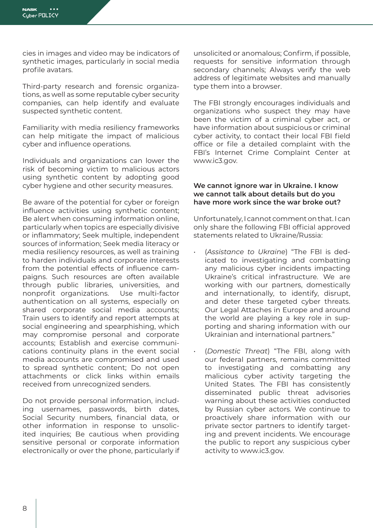cies in images and video may be indicators of synthetic images, particularly in social media profile avatars.

Third-party research and forensic organizations, as well as some reputable cyber security companies, can help identify and evaluate suspected synthetic content.

Familiarity with media resiliency frameworks can help mitigate the impact of malicious cyber and influence operations.

Individuals and organizations can lower the risk of becoming victim to malicious actors using synthetic content by adopting good cyber hygiene and other security measures.

Be aware of the potential for cyber or foreign influence activities using synthetic content; Be alert when consuming information online, particularly when topics are especially divisive or inflammatory; Seek multiple, independent sources of information; Seek media literacy or media resiliency resources, as well as training to harden individuals and corporate interests from the potential effects of influence campaigns. Such resources are often available through public libraries, universities, and nonprofit organizations. Use multi-factor authentication on all systems, especially on shared corporate social media accounts; Train users to identify and report attempts at social engineering and spearphishing, which may compromise personal and corporate accounts; Establish and exercise communications continuity plans in the event social media accounts are compromised and used to spread synthetic content; Do not open attachments or click links within emails received from unrecognized senders.

Do not provide personal information, including usernames, passwords, birth dates, Social Security numbers, financial data, or other information in response to unsolicited inquiries; Be cautious when providing sensitive personal or corporate information electronically or over the phone, particularly if

unsolicited or anomalous; Confirm, if possible, requests for sensitive information through secondary channels; Always verify the web address of legitimate websites and manually type them into a browser.

The FBI strongly encourages individuals and organizations who suspect they may have been the victim of a criminal cyber act, or have information about suspicious or criminal cyber activity, to contact their local FBI field office or file a detailed complaint with the FBI's Internet Crime Complaint Center at www.ic3.gov.

#### **We cannot ignore war in Ukraine. I know we cannot talk about details but do you have more work since the war broke out?**

Unfortunately, I cannot comment on that. I can only share the following FBI official approved statements related to Ukraine/Russia:

- (*Assistance to Ukraine*) "The FBI is dedicated to investigating and combatting any malicious cyber incidents impacting Ukraine's critical infrastructure. We are working with our partners, domestically and internationally, to identify, disrupt, and deter these targeted cyber threats. Our Legal Attaches in Europe and around the world are playing a key role in supporting and sharing information with our Ukrainian and international partners."
- (*Domestic Threat*) "The FBI, along with our federal partners, remains committed to investigating and combatting any malicious cyber activity targeting the United States. The FBI has consistently disseminated public threat advisories warning about these activities conducted by Russian cyber actors. We continue to proactively share information with our private sector partners to identify targeting and prevent incidents. We encourage the public to report any suspicious cyber activity to www.ic3.gov.